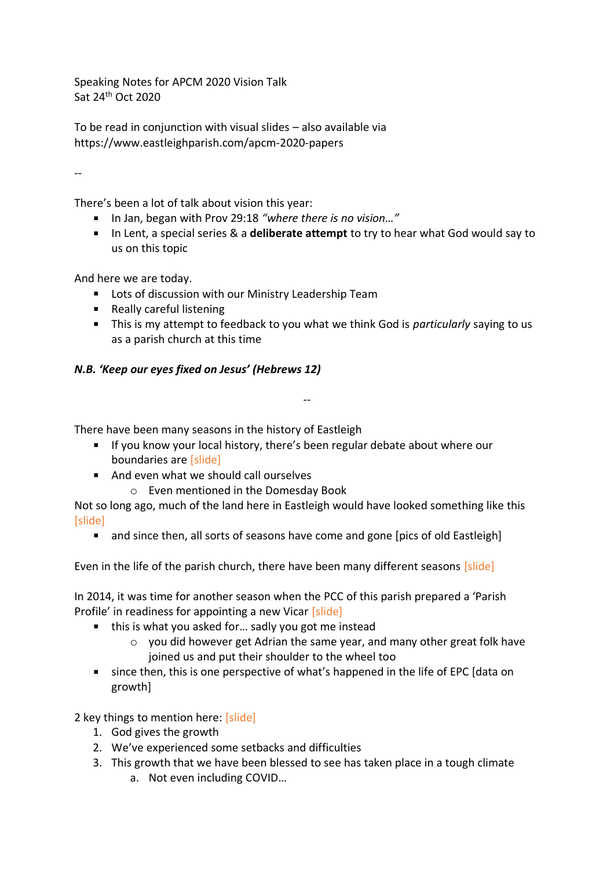Speaking Notes for APCM 2020 Vision Talk Sat 24th Oct 2020

To be read in conjunction with visual slides – also available via https://www.eastleighparish.com/apcm-2020-papers

--

There's been a lot of talk about vision this year:

- In Jan, began with Prov 29:18 "where there is no vision..."
- In Lent, a special series & a **deliberate attempt** to try to hear what God would say to us on this topic

And here we are today.

- **EXECT:** Lots of discussion with our Ministry Leadership Team
- Really careful listening
- This is my attempt to feedback to you what we think God is *particularly* saying to us as a parish church at this time

--

## *N.B. 'Keep our eyes fixed on Jesus' (Hebrews 12)*

There have been many seasons in the history of Eastleigh

- If you know your local history, there's been regular debate about where our boundaries are [slide]
- And even what we should call ourselves
	- o Even mentioned in the Domesday Book

Not so long ago, much of the land here in Eastleigh would have looked something like this [slide]

• and since then, all sorts of seasons have come and gone [pics of old Eastleigh]

Even in the life of the parish church, there have been many different seasons [slide]

In 2014, it was time for another season when the PCC of this parish prepared a 'Parish Profile' in readiness for appointing a new Vicar [slide]

- this is what you asked for... sadly you got me instead
	- o you did however get Adrian the same year, and many other great folk have joined us and put their shoulder to the wheel too
- since then, this is one perspective of what's happened in the life of EPC [data on growth]

2 key things to mention here: [slide]

- 1. God gives the growth
- 2. We've experienced some setbacks and difficulties
- 3. This growth that we have been blessed to see has taken place in a tough climate
	- a. Not even including COVID…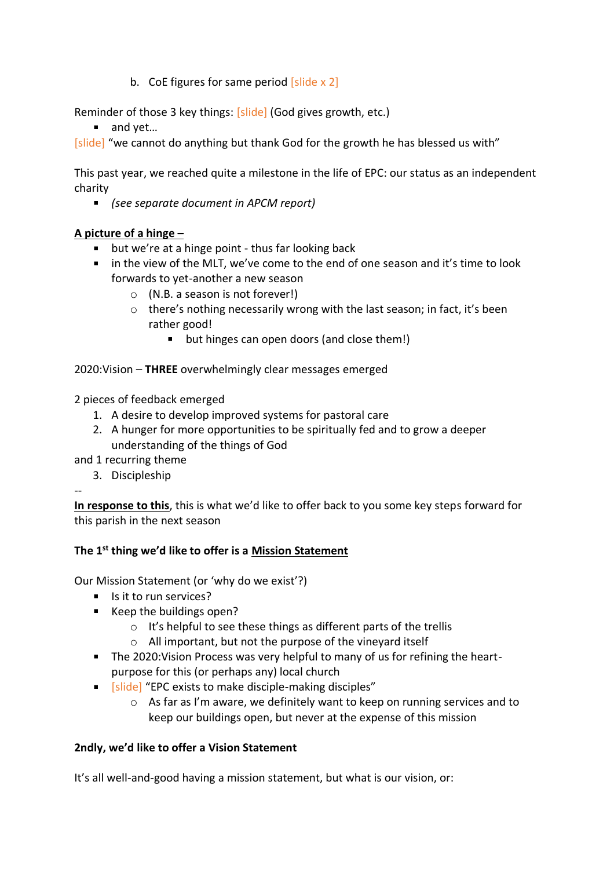b. CoE figures for same period  $[s]$ lide x 2]

Reminder of those 3 key things: [slide] (God gives growth, etc.)

■ and yet...

[slide] "we cannot do anything but thank God for the growth he has blessed us with"

This past year, we reached quite a milestone in the life of EPC: our status as an independent charity

*(see separate document in APCM report)*

## **A picture of a hinge –**

- **but we're at a hinge point thus far looking back**
- in the view of the MLT, we've come to the end of one season and it's time to look forwards to yet-another a new season
	- o (N.B. a season is not forever!)
	- o there's nothing necessarily wrong with the last season; in fact, it's been rather good!
		- $\mathbf{u}$  . but hinges can open doors (and close them!)

2020:Vision – **THREE** overwhelmingly clear messages emerged

2 pieces of feedback emerged

- 1. A desire to develop improved systems for pastoral care
- 2. A hunger for more opportunities to be spiritually fed and to grow a deeper understanding of the things of God

and 1 recurring theme

3. Discipleship

--

**In response to this**, this is what we'd like to offer back to you some key steps forward for this parish in the next season

## **The 1st thing we'd like to offer is a Mission Statement**

Our Mission Statement (or 'why do we exist'?)

- Is it to run services?
- Keep the buildings open?
	- o It's helpful to see these things as different parts of the trellis
	- o All important, but not the purpose of the vineyard itself
- The 2020:Vision Process was very helpful to many of us for refining the heartpurpose for this (or perhaps any) local church
- **Figure 1** [slide] "EPC exists to make disciple-making disciples"
	- o As far as I'm aware, we definitely want to keep on running services and to keep our buildings open, but never at the expense of this mission

## **2ndly, we'd like to offer a Vision Statement**

It's all well-and-good having a mission statement, but what is our vision, or: